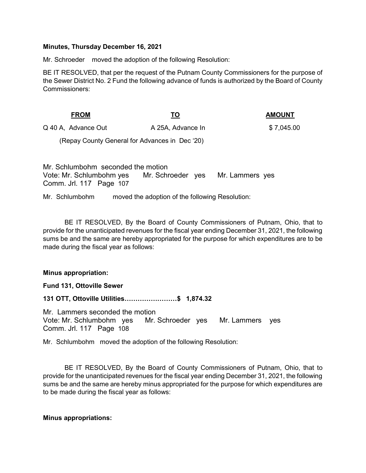### Minutes, Thursday December 16, 2021

Mr. Schroeder moved the adoption of the following Resolution:

BE IT RESOLVED, that per the request of the Putnam County Commissioners for the purpose of the Sewer District No. 2 Fund the following advance of funds is authorized by the Board of County Commissioners:

| <b>FROM</b>         | <u>TO</u>         | <b>AMOUNT</b> |
|---------------------|-------------------|---------------|
| Q 40 A, Advance Out | A 25A, Advance In | \$7,045.00    |

(Repay County General for Advances in Dec '20)

Mr. Schlumbohm seconded the motion Vote: Mr. Schlumbohm yes Mr. Schroeder yes Mr. Lammers yes Comm. Jrl. 117 Page 107

Mr. Schlumbohm moved the adoption of the following Resolution:

 BE IT RESOLVED, By the Board of County Commissioners of Putnam, Ohio, that to provide for the unanticipated revenues for the fiscal year ending December 31, 2021, the following sums be and the same are hereby appropriated for the purpose for which expenditures are to be made during the fiscal year as follows:

## Minus appropriation:

Fund 131, Ottoville Sewer

131 OTT, Ottoville Utilities……………………\$ 1,874.32

Mr. Lammers seconded the motion Vote: Mr. Schlumbohm yes Mr. Schroeder yes Mr. Lammers yes Comm. Jrl. 117 Page 108

Mr. Schlumbohm moved the adoption of the following Resolution:

 BE IT RESOLVED, By the Board of County Commissioners of Putnam, Ohio, that to provide for the unanticipated revenues for the fiscal year ending December 31, 2021, the following sums be and the same are hereby minus appropriated for the purpose for which expenditures are to be made during the fiscal year as follows:

## Minus appropriations: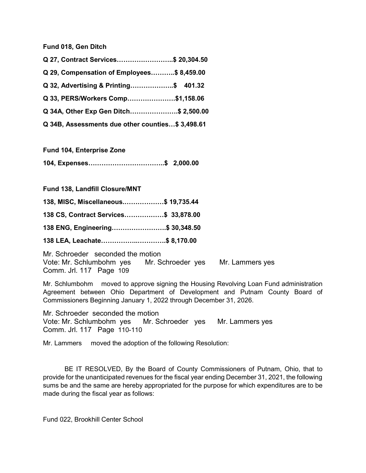Fund 018, Gen Ditch

| Q 27, Contract Services\$ 20,304.50              |  |
|--------------------------------------------------|--|
| Q 29, Compensation of Employees\$ 8,459.00       |  |
| Q 32, Advertising & Printing\$ 401.32            |  |
| Q 33, PERS/Workers Comp\$1,158.06                |  |
| Q 34A, Other Exp Gen Ditch\$ 2,500.00            |  |
| Q 34B, Assessments due other counties\$ 3,498.61 |  |

Fund 104, Enterprise Zone

104, Expenses……………………………..\$ 2,000.00

Fund 138, Landfill Closure/MNT

138, MISC, Miscellaneous.………………\$ 19,735.44 138 CS, Contract Services………………\$ 33,878.00 138 ENG, Engineering…………………….\$ 30,348.50 138 LEA, Leachate……………..………….\$ 8,170.00

Mr. Schroeder seconded the motion Vote: Mr. Schlumbohm yes Mr. Schroeder yes Mr. Lammers yes Comm. Jrl. 117 Page 109

Mr. Schlumbohm moved to approve signing the Housing Revolving Loan Fund administration Agreement between Ohio Department of Development and Putnam County Board of Commissioners Beginning January 1, 2022 through December 31, 2026.

Mr. Schroeder seconded the motion Vote: Mr. Schlumbohm yes Mr. Schroeder yes Mr. Lammers yes Comm. Jrl. 117 Page 110-110

Mr. Lammers moved the adoption of the following Resolution:

 BE IT RESOLVED, By the Board of County Commissioners of Putnam, Ohio, that to provide for the unanticipated revenues for the fiscal year ending December 31, 2021, the following sums be and the same are hereby appropriated for the purpose for which expenditures are to be made during the fiscal year as follows:

Fund 022, Brookhill Center School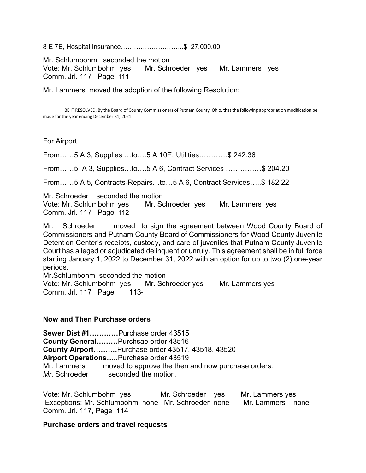8 E 7E, Hospital Insurance………………………..\$ 27,000.00

Mr. Schlumbohm seconded the motion

Vote: Mr. Schlumbohm yes Mr. Schroeder yes Mr. Lammers yes Comm. Jrl. 117 Page 111

Mr. Lammers moved the adoption of the following Resolution:

 BE IT RESOLVED, By the Board of County Commissioners of Putnam County, Ohio, that the following appropriation modification be made for the year ending December 31, 2021.

For Airport……

From……5 A 3, Supplies …to….5 A 10E, Utilities…………\$ 242.36

From……5 A 3, Supplies…to….5 A 6, Contract Services ……………\$ 204.20

From……5 A 5, Contracts-Repairs…to…5 A 6, Contract Services…..\$ 182.22

Mr. Schroeder seconded the motion Vote: Mr. Schlumbohm yes Mr. Schroeder yes Mr. Lammers yes Comm. Jrl. 117 Page 112

Mr. Schroeder moved to sign the agreement between Wood County Board of Commissioners and Putnam County Board of Commissioners for Wood County Juvenile Detention Center's receipts, custody, and care of juveniles that Putnam County Juvenile Court has alleged or adjudicated delinquent or unruly. This agreement shall be in full force starting January 1, 2022 to December 31, 2022 with an option for up to two (2) one-year periods.

Mr.Schlumbohm seconded the motion Vote: Mr. Schlumbohm yes Mr. Schroeder yes Mr. Lammers yes Comm. Jrl. 117 Page 113-

# Now and Then Purchase orders

Sewer Dist #1…………Purchase order 43515 County General………Purchsae order 43516 County Airport……….Purchase order 43517, 43518, 43520 Airport Operations.....Purchase order 43519 Mr. Lammers moved to approve the then and now purchase orders. Mr. Schroeder seconded the motion.

Vote: Mr. Schlumbohm yes Mr. Schroeder yes Mr. Lammers yes Exceptions: Mr. Schlumbohm none Mr. Schroeder none Mr. Lammers none Comm. Jrl. 117, Page 114

### Purchase orders and travel requests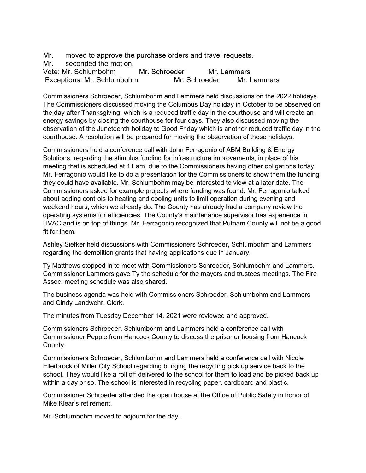Mr. moved to approve the purchase orders and travel requests.

Mr. seconded the motion.

Vote: Mr. Schlumbohm Mr. Schroeder Mr. Lammers Exceptions: Mr. Schlumbohm Mr. Schroeder Mr. Lammers

Commissioners Schroeder, Schlumbohm and Lammers held discussions on the 2022 holidays. The Commissioners discussed moving the Columbus Day holiday in October to be observed on the day after Thanksgiving, which is a reduced traffic day in the courthouse and will create an energy savings by closing the courthouse for four days. They also discussed moving the observation of the Juneteenth holiday to Good Friday which is another reduced traffic day in the courthouse. A resolution will be prepared for moving the observation of these holidays.

Commissioners held a conference call with John Ferragonio of ABM Building & Energy Solutions, regarding the stimulus funding for infrastructure improvements, in place of his meeting that is scheduled at 11 am, due to the Commissioners having other obligations today. Mr. Ferragonio would like to do a presentation for the Commissioners to show them the funding they could have available. Mr. Schlumbohm may be interested to view at a later date. The Commissioners asked for example projects where funding was found. Mr. Ferragonio talked about adding controls to heating and cooling units to limit operation during evening and weekend hours, which we already do. The County has already had a company review the operating systems for efficiencies. The County's maintenance supervisor has experience in HVAC and is on top of things. Mr. Ferragonio recognized that Putnam County will not be a good fit for them.

Ashley Siefker held discussions with Commissioners Schroeder, Schlumbohm and Lammers regarding the demolition grants that having applications due in January.

Ty Matthews stopped in to meet with Commissioners Schroeder, Schlumbohm and Lammers. Commissioner Lammers gave Ty the schedule for the mayors and trustees meetings. The Fire Assoc. meeting schedule was also shared.

The business agenda was held with Commissioners Schroeder, Schlumbohm and Lammers and Cindy Landwehr, Clerk.

The minutes from Tuesday December 14, 2021 were reviewed and approved.

Commissioners Schroeder, Schlumbohm and Lammers held a conference call with Commissioner Pepple from Hancock County to discuss the prisoner housing from Hancock County.

Commissioners Schroeder, Schlumbohm and Lammers held a conference call with Nicole Ellerbrock of Miller City School regarding bringing the recycling pick up service back to the school. They would like a roll off delivered to the school for them to load and be picked back up within a day or so. The school is interested in recycling paper, cardboard and plastic.

Commissioner Schroeder attended the open house at the Office of Public Safety in honor of Mike Klear's retirement.

Mr. Schlumbohm moved to adjourn for the day.